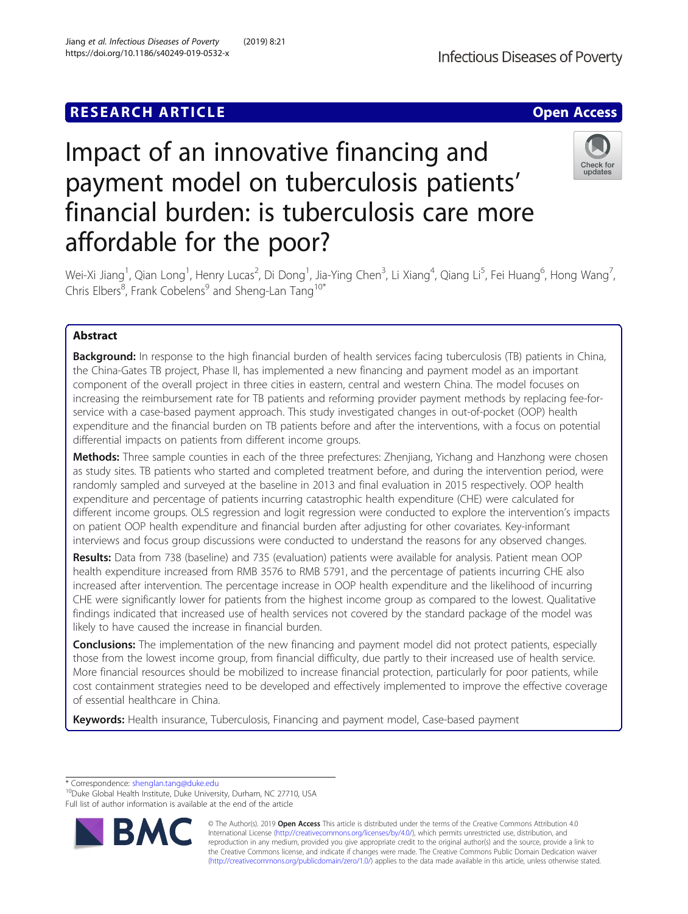# **RESEARCH ARTICLE Example 2014 12:30 The Contract of Contract ACCESS**



# Impact of an innovative financing and payment model on tuberculosis patients' financial burden: is tuberculosis care more affordable for the poor?



Wei-Xi Jiang<sup>1</sup>, Qian Long<sup>1</sup>, Henry Lucas<sup>2</sup>, Di Dong<sup>1</sup>, Jia-Ying Chen<sup>3</sup>, Li Xiang<sup>4</sup>, Qiang Li<sup>5</sup>, Fei Huang<sup>6</sup>, Hong Wang<sup>7</sup> , Chris Elbers<sup>8</sup>, Frank Cobelens<sup>9</sup> and Sheng-Lan Tang<sup>10\*</sup>

# Abstract

Background: In response to the high financial burden of health services facing tuberculosis (TB) patients in China, the China-Gates TB project, Phase II, has implemented a new financing and payment model as an important component of the overall project in three cities in eastern, central and western China. The model focuses on increasing the reimbursement rate for TB patients and reforming provider payment methods by replacing fee-forservice with a case-based payment approach. This study investigated changes in out-of-pocket (OOP) health expenditure and the financial burden on TB patients before and after the interventions, with a focus on potential differential impacts on patients from different income groups.

Methods: Three sample counties in each of the three prefectures: Zhenjiang, Yichang and Hanzhong were chosen as study sites. TB patients who started and completed treatment before, and during the intervention period, were randomly sampled and surveyed at the baseline in 2013 and final evaluation in 2015 respectively. OOP health expenditure and percentage of patients incurring catastrophic health expenditure (CHE) were calculated for different income groups. OLS regression and logit regression were conducted to explore the intervention's impacts on patient OOP health expenditure and financial burden after adjusting for other covariates. Key-informant interviews and focus group discussions were conducted to understand the reasons for any observed changes.

Results: Data from 738 (baseline) and 735 (evaluation) patients were available for analysis. Patient mean OOP health expenditure increased from RMB 3576 to RMB 5791, and the percentage of patients incurring CHE also increased after intervention. The percentage increase in OOP health expenditure and the likelihood of incurring CHE were significantly lower for patients from the highest income group as compared to the lowest. Qualitative findings indicated that increased use of health services not covered by the standard package of the model was likely to have caused the increase in financial burden.

**Conclusions:** The implementation of the new financing and payment model did not protect patients, especially those from the lowest income group, from financial difficulty, due partly to their increased use of health service. More financial resources should be mobilized to increase financial protection, particularly for poor patients, while cost containment strategies need to be developed and effectively implemented to improve the effective coverage of essential healthcare in China.

Keywords: Health insurance, Tuberculosis, Financing and payment model, Case-based payment

\* Correspondence: [shenglan.tang@duke.edu](mailto:shenglan.tang@duke.edu) 10Duke Global Health Institute, Duke University, Durham, NC 27710, USA Full list of author information is available at the end of the article



© The Author(s). 2019 **Open Access** This article is distributed under the terms of the Creative Commons Attribution 4.0 International License [\(http://creativecommons.org/licenses/by/4.0/](http://creativecommons.org/licenses/by/4.0/)), which permits unrestricted use, distribution, and reproduction in any medium, provided you give appropriate credit to the original author(s) and the source, provide a link to the Creative Commons license, and indicate if changes were made. The Creative Commons Public Domain Dedication waiver [\(http://creativecommons.org/publicdomain/zero/1.0/](http://creativecommons.org/publicdomain/zero/1.0/)) applies to the data made available in this article, unless otherwise stated.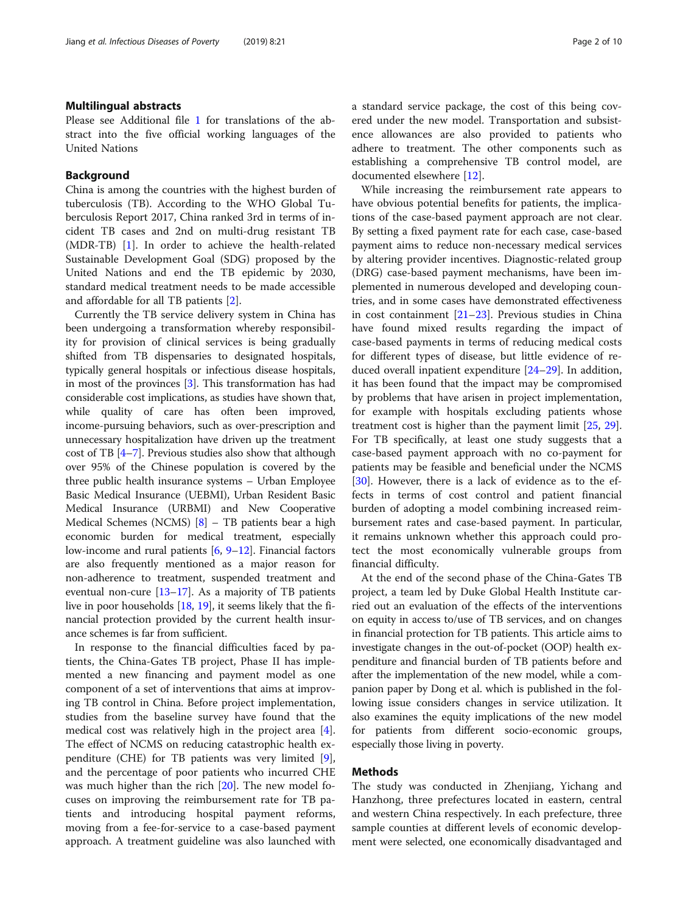# Multilingual abstracts

Please see Additional file [1](#page-8-0) for translations of the abstract into the five official working languages of the United Nations

## Background

China is among the countries with the highest burden of tuberculosis (TB). According to the WHO Global Tuberculosis Report 2017, China ranked 3rd in terms of incident TB cases and 2nd on multi-drug resistant TB (MDR-TB) [\[1](#page-8-0)]. In order to achieve the health-related Sustainable Development Goal (SDG) proposed by the United Nations and end the TB epidemic by 2030, standard medical treatment needs to be made accessible and affordable for all TB patients [[2\]](#page-8-0).

Currently the TB service delivery system in China has been undergoing a transformation whereby responsibility for provision of clinical services is being gradually shifted from TB dispensaries to designated hospitals, typically general hospitals or infectious disease hospitals, in most of the provinces [\[3](#page-8-0)]. This transformation has had considerable cost implications, as studies have shown that, while quality of care has often been improved, income-pursuing behaviors, such as over-prescription and unnecessary hospitalization have driven up the treatment cost of TB [\[4](#page-8-0)–[7\]](#page-8-0). Previous studies also show that although over 95% of the Chinese population is covered by the three public health insurance systems – Urban Employee Basic Medical Insurance (UEBMI), Urban Resident Basic Medical Insurance (URBMI) and New Cooperative Medical Schemes (NCMS) [[8\]](#page-8-0) – TB patients bear a high economic burden for medical treatment, especially low-income and rural patients [[6](#page-8-0), [9](#page-8-0)–[12](#page-8-0)]. Financial factors are also frequently mentioned as a major reason for non-adherence to treatment, suspended treatment and eventual non-cure [[13](#page-8-0)–[17\]](#page-9-0). As a majority of TB patients live in poor households [\[18](#page-9-0), [19\]](#page-9-0), it seems likely that the financial protection provided by the current health insurance schemes is far from sufficient.

In response to the financial difficulties faced by patients, the China-Gates TB project, Phase II has implemented a new financing and payment model as one component of a set of interventions that aims at improving TB control in China. Before project implementation, studies from the baseline survey have found that the medical cost was relatively high in the project area [\[4](#page-8-0)]. The effect of NCMS on reducing catastrophic health expenditure (CHE) for TB patients was very limited [\[9](#page-8-0)], and the percentage of poor patients who incurred CHE was much higher than the rich [[20\]](#page-9-0). The new model focuses on improving the reimbursement rate for TB patients and introducing hospital payment reforms, moving from a fee-for-service to a case-based payment approach. A treatment guideline was also launched with a standard service package, the cost of this being covered under the new model. Transportation and subsistence allowances are also provided to patients who adhere to treatment. The other components such as establishing a comprehensive TB control model, are documented elsewhere [\[12](#page-8-0)].

While increasing the reimbursement rate appears to have obvious potential benefits for patients, the implications of the case-based payment approach are not clear. By setting a fixed payment rate for each case, case-based payment aims to reduce non-necessary medical services by altering provider incentives. Diagnostic-related group (DRG) case-based payment mechanisms, have been implemented in numerous developed and developing countries, and in some cases have demonstrated effectiveness in cost containment [\[21](#page-9-0)–[23\]](#page-9-0). Previous studies in China have found mixed results regarding the impact of case-based payments in terms of reducing medical costs for different types of disease, but little evidence of reduced overall inpatient expenditure [[24](#page-9-0)–[29\]](#page-9-0). In addition, it has been found that the impact may be compromised by problems that have arisen in project implementation, for example with hospitals excluding patients whose treatment cost is higher than the payment limit [\[25,](#page-9-0) [29](#page-9-0)]. For TB specifically, at least one study suggests that a case-based payment approach with no co-payment for patients may be feasible and beneficial under the NCMS [[30\]](#page-9-0). However, there is a lack of evidence as to the effects in terms of cost control and patient financial burden of adopting a model combining increased reimbursement rates and case-based payment. In particular, it remains unknown whether this approach could protect the most economically vulnerable groups from financial difficulty.

At the end of the second phase of the China-Gates TB project, a team led by Duke Global Health Institute carried out an evaluation of the effects of the interventions on equity in access to/use of TB services, and on changes in financial protection for TB patients. This article aims to investigate changes in the out-of-pocket (OOP) health expenditure and financial burden of TB patients before and after the implementation of the new model, while a companion paper by Dong et al. which is published in the following issue considers changes in service utilization. It also examines the equity implications of the new model for patients from different socio-economic groups, especially those living in poverty.

#### Methods

The study was conducted in Zhenjiang, Yichang and Hanzhong, three prefectures located in eastern, central and western China respectively. In each prefecture, three sample counties at different levels of economic development were selected, one economically disadvantaged and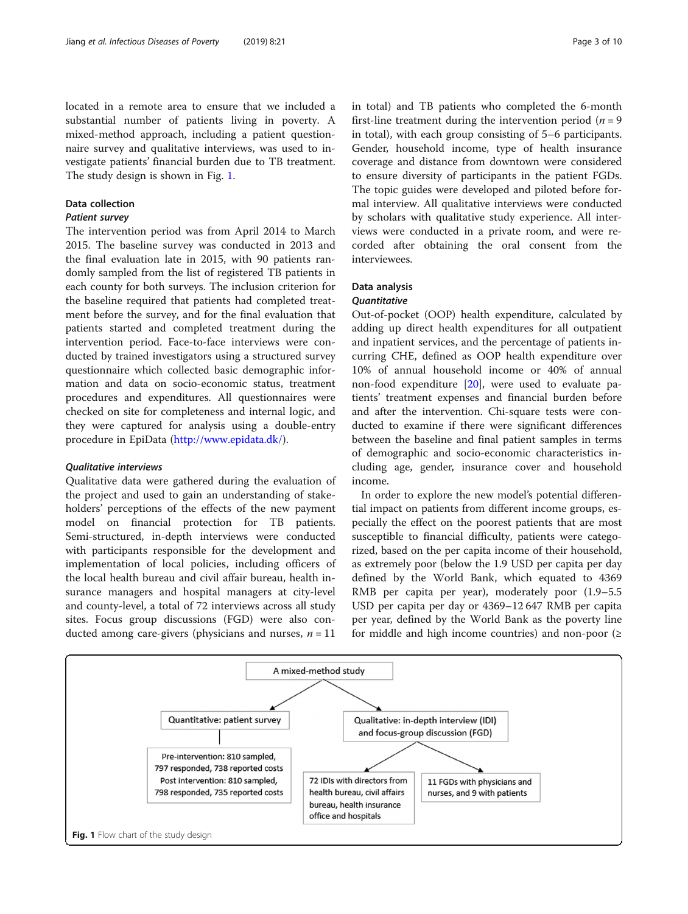located in a remote area to ensure that we included a substantial number of patients living in poverty. A mixed-method approach, including a patient questionnaire survey and qualitative interviews, was used to investigate patients' financial burden due to TB treatment. The study design is shown in Fig. 1.

# Data collection

# Patient survey

The intervention period was from April 2014 to March 2015. The baseline survey was conducted in 2013 and the final evaluation late in 2015, with 90 patients randomly sampled from the list of registered TB patients in each county for both surveys. The inclusion criterion for the baseline required that patients had completed treatment before the survey, and for the final evaluation that patients started and completed treatment during the intervention period. Face-to-face interviews were conducted by trained investigators using a structured survey questionnaire which collected basic demographic information and data on socio-economic status, treatment procedures and expenditures. All questionnaires were checked on site for completeness and internal logic, and they were captured for analysis using a double-entry procedure in EpiData [\(http://www.epidata.dk/\)](http://www.epidata.dk/).

# Qualitative interviews

Qualitative data were gathered during the evaluation of the project and used to gain an understanding of stakeholders' perceptions of the effects of the new payment model on financial protection for TB patients. Semi-structured, in-depth interviews were conducted with participants responsible for the development and implementation of local policies, including officers of the local health bureau and civil affair bureau, health insurance managers and hospital managers at city-level and county-level, a total of 72 interviews across all study sites. Focus group discussions (FGD) were also conducted among care-givers (physicians and nurses,  $n = 11$ 

in total) and TB patients who completed the 6-month first-line treatment during the intervention period ( $n = 9$ ) in total), with each group consisting of 5–6 participants. Gender, household income, type of health insurance coverage and distance from downtown were considered to ensure diversity of participants in the patient FGDs. The topic guides were developed and piloted before formal interview. All qualitative interviews were conducted by scholars with qualitative study experience. All interviews were conducted in a private room, and were recorded after obtaining the oral consent from the interviewees.

# Data analysis

# **Quantitative**

Out-of-pocket (OOP) health expenditure, calculated by adding up direct health expenditures for all outpatient and inpatient services, and the percentage of patients incurring CHE, defined as OOP health expenditure over 10% of annual household income or 40% of annual non-food expenditure [[20\]](#page-9-0), were used to evaluate patients' treatment expenses and financial burden before and after the intervention. Chi-square tests were conducted to examine if there were significant differences between the baseline and final patient samples in terms of demographic and socio-economic characteristics including age, gender, insurance cover and household income.

In order to explore the new model's potential differential impact on patients from different income groups, especially the effect on the poorest patients that are most susceptible to financial difficulty, patients were categorized, based on the per capita income of their household, as extremely poor (below the 1.9 USD per capita per day defined by the World Bank, which equated to 4369 RMB per capita per year), moderately poor (1.9–5.5 USD per capita per day or 4369–12 647 RMB per capita per year, defined by the World Bank as the poverty line for middle and high income countries) and non-poor  $(≥$ 

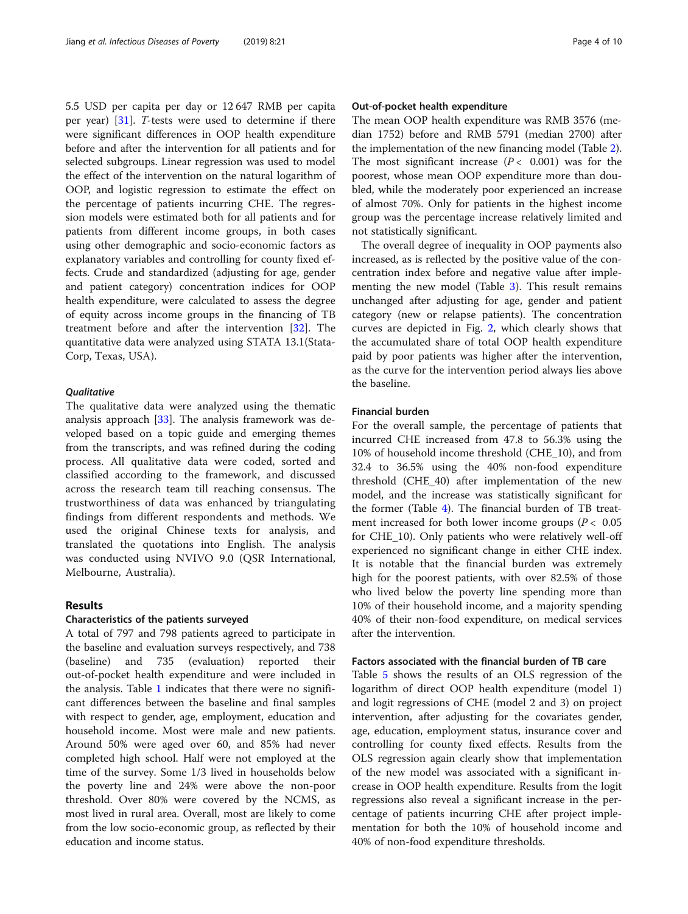5.5 USD per capita per day or 12 647 RMB per capita per year) [\[31\]](#page-9-0). T-tests were used to determine if there were significant differences in OOP health expenditure before and after the intervention for all patients and for selected subgroups. Linear regression was used to model the effect of the intervention on the natural logarithm of OOP, and logistic regression to estimate the effect on the percentage of patients incurring CHE. The regression models were estimated both for all patients and for patients from different income groups, in both cases using other demographic and socio-economic factors as explanatory variables and controlling for county fixed effects. Crude and standardized (adjusting for age, gender and patient category) concentration indices for OOP health expenditure, were calculated to assess the degree of equity across income groups in the financing of TB treatment before and after the intervention [[32\]](#page-9-0). The quantitative data were analyzed using STATA 13.1(Stata-Corp, Texas, USA).

#### **Qualitative**

The qualitative data were analyzed using the thematic analysis approach [[33](#page-9-0)]. The analysis framework was developed based on a topic guide and emerging themes from the transcripts, and was refined during the coding process. All qualitative data were coded, sorted and classified according to the framework, and discussed across the research team till reaching consensus. The trustworthiness of data was enhanced by triangulating findings from different respondents and methods. We used the original Chinese texts for analysis, and translated the quotations into English. The analysis was conducted using NVIVO 9.0 (QSR International, Melbourne, Australia).

# Results

# Characteristics of the patients surveyed

A total of 797 and 798 patients agreed to participate in the baseline and evaluation surveys respectively, and 738 (baseline) and 735 (evaluation) reported their out-of-pocket health expenditure and were included in the analysis. Table [1](#page-4-0) indicates that there were no significant differences between the baseline and final samples with respect to gender, age, employment, education and household income. Most were male and new patients. Around 50% were aged over 60, and 85% had never completed high school. Half were not employed at the time of the survey. Some 1/3 lived in households below the poverty line and 24% were above the non-poor threshold. Over 80% were covered by the NCMS, as most lived in rural area. Overall, most are likely to come from the low socio-economic group, as reflected by their education and income status.

#### Out-of-pocket health expenditure

The mean OOP health expenditure was RMB 3576 (median 1752) before and RMB 5791 (median 2700) after the implementation of the new financing model (Table [2](#page-4-0)). The most significant increase  $(P < 0.001)$  was for the poorest, whose mean OOP expenditure more than doubled, while the moderately poor experienced an increase of almost 70%. Only for patients in the highest income group was the percentage increase relatively limited and not statistically significant.

The overall degree of inequality in OOP payments also increased, as is reflected by the positive value of the concentration index before and negative value after implementing the new model (Table [3](#page-5-0)). This result remains unchanged after adjusting for age, gender and patient category (new or relapse patients). The concentration curves are depicted in Fig. [2](#page-5-0), which clearly shows that the accumulated share of total OOP health expenditure paid by poor patients was higher after the intervention, as the curve for the intervention period always lies above the baseline.

# Financial burden

For the overall sample, the percentage of patients that incurred CHE increased from 47.8 to 56.3% using the 10% of household income threshold (CHE\_10), and from 32.4 to 36.5% using the 40% non-food expenditure threshold (CHE\_40) after implementation of the new model, and the increase was statistically significant for the former (Table [4](#page-6-0)). The financial burden of TB treatment increased for both lower income groups ( $P < 0.05$ ) for CHE\_10). Only patients who were relatively well-off experienced no significant change in either CHE index. It is notable that the financial burden was extremely high for the poorest patients, with over 82.5% of those who lived below the poverty line spending more than 10% of their household income, and a majority spending 40% of their non-food expenditure, on medical services after the intervention.

# Factors associated with the financial burden of TB care

Table [5](#page-6-0) shows the results of an OLS regression of the logarithm of direct OOP health expenditure (model 1) and logit regressions of CHE (model 2 and 3) on project intervention, after adjusting for the covariates gender, age, education, employment status, insurance cover and controlling for county fixed effects. Results from the OLS regression again clearly show that implementation of the new model was associated with a significant increase in OOP health expenditure. Results from the logit regressions also reveal a significant increase in the percentage of patients incurring CHE after project implementation for both the 10% of household income and 40% of non-food expenditure thresholds.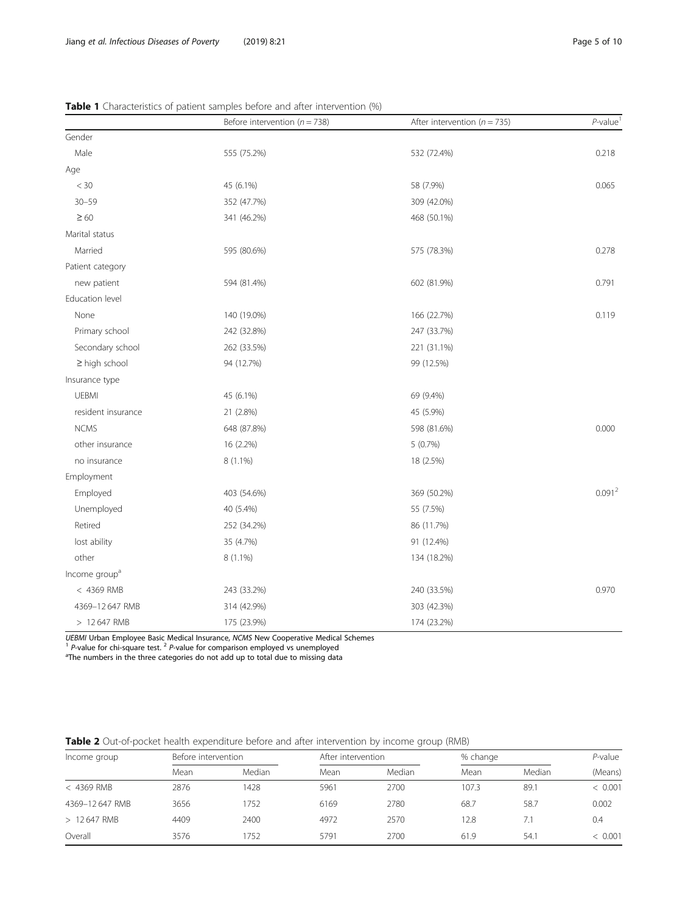| Before intervention ( $n = 738$ ) |             | After intervention ( $n = 735$ ) | $P$ -value         |  |
|-----------------------------------|-------------|----------------------------------|--------------------|--|
| Gender                            |             |                                  |                    |  |
| Male                              | 555 (75.2%) | 532 (72.4%)                      | 0.218              |  |
| Age                               |             |                                  |                    |  |
| $<$ 30                            | 45 (6.1%)   | 58 (7.9%)                        | 0.065              |  |
| $30 - 59$                         | 352 (47.7%) | 309 (42.0%)                      |                    |  |
| $\geq 60$                         | 341 (46.2%) | 468 (50.1%)                      |                    |  |
| Marital status                    |             |                                  |                    |  |
| Married                           | 595 (80.6%) | 575 (78.3%)                      | 0.278              |  |
| Patient category                  |             |                                  |                    |  |
| new patient                       | 594 (81.4%) | 602 (81.9%)                      | 0.791              |  |
| Education level                   |             |                                  |                    |  |
| None                              | 140 (19.0%) | 166 (22.7%)                      | 0.119              |  |
| Primary school                    | 242 (32.8%) | 247 (33.7%)                      |                    |  |
| Secondary school                  | 262 (33.5%) | 221 (31.1%)                      |                    |  |
| $\geq$ high school                | 94 (12.7%)  | 99 (12.5%)                       |                    |  |
| Insurance type                    |             |                                  |                    |  |
| <b>UEBMI</b>                      | 45 (6.1%)   | 69 (9.4%)                        |                    |  |
| resident insurance                | 21 (2.8%)   | 45 (5.9%)                        |                    |  |
| <b>NCMS</b>                       | 648 (87.8%) | 598 (81.6%)                      | 0.000              |  |
| other insurance                   | 16 (2.2%)   | $5(0.7\%)$                       |                    |  |
| no insurance                      | 8 (1.1%)    | 18 (2.5%)                        |                    |  |
| Employment                        |             |                                  |                    |  |
| Employed                          | 403 (54.6%) | 369 (50.2%)                      | 0.091 <sup>2</sup> |  |
| Unemployed                        | 40 (5.4%)   | 55 (7.5%)                        |                    |  |
| Retired                           | 252 (34.2%) | 86 (11.7%)                       |                    |  |
| lost ability                      | 35 (4.7%)   | 91 (12.4%)                       |                    |  |
| other                             | 8 (1.1%)    | 134 (18.2%)                      |                    |  |
| Income group <sup>a</sup>         |             |                                  |                    |  |
| < 4369 RMB                        | 243 (33.2%) | 240 (33.5%)                      | 0.970              |  |
| 4369-12 647 RMB                   | 314 (42.9%) | 303 (42.3%)                      |                    |  |
| > 12 647 RMB                      | 175 (23.9%) | 174 (23.2%)                      |                    |  |

<span id="page-4-0"></span>Table 1 Characteristics of patient samples before and after intervention (%)

UEBMI Urban Employee Basic Medical Insurance, NCMS New Cooperative Medical Schemes  ${}^{1}$  P-value for chi-square test.  ${}^{2}$  P-value for comparison employed vs unemployed

<sup>a</sup>The numbers in the three categories do not add up to total due to missing data

Table 2 Out-of-pocket health expenditure before and after intervention by income group (RMB)

| Before intervention |        |      | After intervention |       | % change |         |
|---------------------|--------|------|--------------------|-------|----------|---------|
| Mean                | Median | Mean | Median             | Mean  | Median   | (Means) |
| 2876                | 1428   | 5961 | 2700               | 107.3 | 89.1     | < 0.001 |
| 3656                | 752    | 6169 | 2780               | 68.7  | 58.7     | 0.002   |
| 4409                | 2400   | 4972 | 2570               | 12.8  | 7.1      | 0.4     |
| 3576                | 752    | 5791 | 2700               | 61.9  | 54.1     | < 0.001 |
|                     |        |      |                    |       |          |         |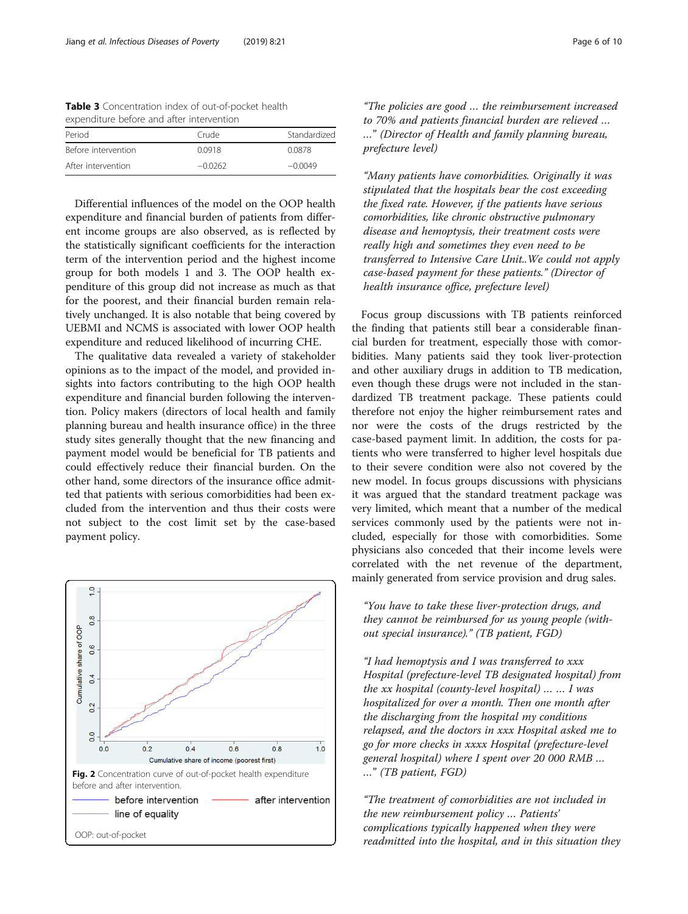<span id="page-5-0"></span>Table 3 Concentration index of out-of-pocket health expenditure before and after intervention

| Period              | Crude     | Standardized |
|---------------------|-----------|--------------|
| Before intervention | 0.0918    | 0.0878       |
| After intervention  | $-0.0262$ | $-0.0049$    |

Differential influences of the model on the OOP health expenditure and financial burden of patients from different income groups are also observed, as is reflected by the statistically significant coefficients for the interaction term of the intervention period and the highest income group for both models 1 and 3. The OOP health expenditure of this group did not increase as much as that for the poorest, and their financial burden remain relatively unchanged. It is also notable that being covered by UEBMI and NCMS is associated with lower OOP health expenditure and reduced likelihood of incurring CHE.

The qualitative data revealed a variety of stakeholder opinions as to the impact of the model, and provided insights into factors contributing to the high OOP health expenditure and financial burden following the intervention. Policy makers (directors of local health and family planning bureau and health insurance office) in the three study sites generally thought that the new financing and payment model would be beneficial for TB patients and could effectively reduce their financial burden. On the other hand, some directors of the insurance office admitted that patients with serious comorbidities had been excluded from the intervention and thus their costs were not subject to the cost limit set by the case-based payment policy.



"The policies are good … the reimbursement increased to 70% and patients financial burden are relieved … …" (Director of Health and family planning bureau, prefecture level)

"Many patients have comorbidities. Originally it was stipulated that the hospitals bear the cost exceeding the fixed rate. However, if the patients have serious comorbidities, like chronic obstructive pulmonary disease and hemoptysis, their treatment costs were really high and sometimes they even need to be transferred to Intensive Care Unit..We could not apply case-based payment for these patients." (Director of health insurance office, prefecture level)

Focus group discussions with TB patients reinforced the finding that patients still bear a considerable financial burden for treatment, especially those with comorbidities. Many patients said they took liver-protection and other auxiliary drugs in addition to TB medication, even though these drugs were not included in the standardized TB treatment package. These patients could therefore not enjoy the higher reimbursement rates and nor were the costs of the drugs restricted by the case-based payment limit. In addition, the costs for patients who were transferred to higher level hospitals due to their severe condition were also not covered by the new model. In focus groups discussions with physicians it was argued that the standard treatment package was very limited, which meant that a number of the medical services commonly used by the patients were not included, especially for those with comorbidities. Some physicians also conceded that their income levels were correlated with the net revenue of the department, mainly generated from service provision and drug sales.

"You have to take these liver-protection drugs, and they cannot be reimbursed for us young people (without special insurance)." (TB patient, FGD)

"I had hemoptysis and I was transferred to xxx Hospital (prefecture-level TB designated hospital) from the xx hospital (county-level hospital)  $\ldots$   $\ldots$  I was hospitalized for over a month. Then one month after the discharging from the hospital my conditions relapsed, and the doctors in xxx Hospital asked me to go for more checks in xxxx Hospital (prefecture-level general hospital) where I spent over 20 000 RMB … …" (TB patient, FGD)

"The treatment of comorbidities are not included in the new reimbursement policy … Patients' complications typically happened when they were readmitted into the hospital, and in this situation they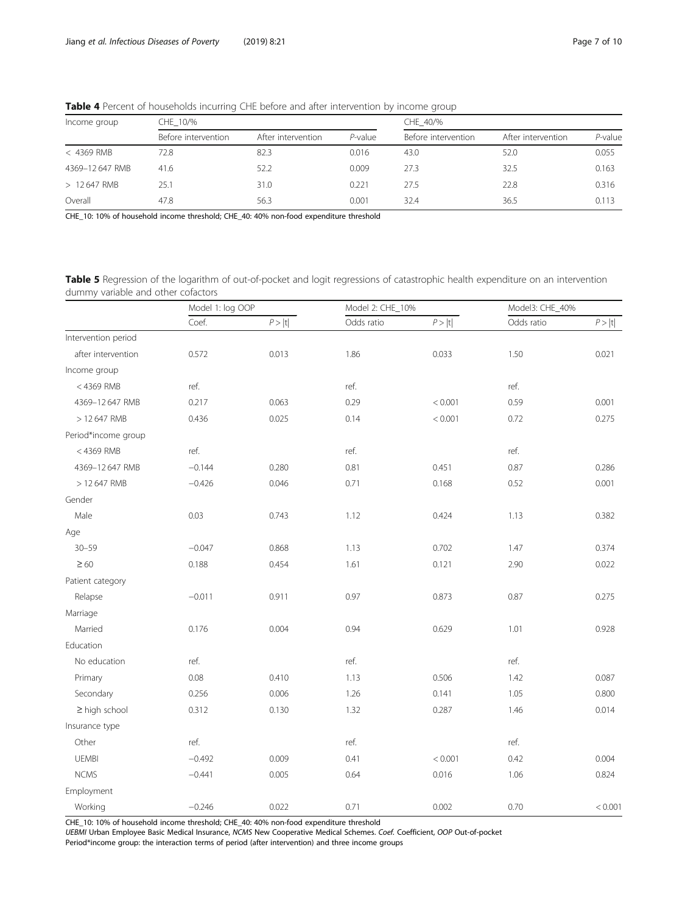| <b>TWATE T</b> ELECTRIC OF HOUSEHOLDS INTERNATING CHE DETOIC UNIO UNCERTAINMENT DY INTERNITE GROUP |                     |                    |            |                     |                    |         |  |  |
|----------------------------------------------------------------------------------------------------|---------------------|--------------------|------------|---------------------|--------------------|---------|--|--|
| Income group                                                                                       | CHE 10/%            |                    | CHE 40/%   |                     |                    |         |  |  |
|                                                                                                    | Before intervention | After intervention | $P$ -value | Before intervention | After intervention | P-value |  |  |
| $<$ 4369 RMB                                                                                       | 72.8                | 82.3               | 0.016      | 43.0                | 52.0               | 0.055   |  |  |
| 4369-12 647 RMB                                                                                    | 41.6                | 52.2               | 0.009      | 27.3                | 32.5               | 0.163   |  |  |
| > 12647 RMB                                                                                        | 25.1                | 31.0               | 0.221      | 27.5                | 22.8               | 0.316   |  |  |
| Overall                                                                                            | 47.8                | 56.3               | 0.001      | 32.4                | 36.5               | 0.113   |  |  |

<span id="page-6-0"></span>Table 4 Percent of households incurring CHE before and after intervention by income group

CHE\_10: 10% of household income threshold; CHE\_40: 40% non-food expenditure threshold

Table 5 Regression of the logarithm of out-of-pocket and logit regressions of catastrophic health expenditure on an intervention dummy variable and other cofactors

|                     | Model 1: log OOP |               | Model 2: CHE_10% |         | Model3: CHE_40% |         |
|---------------------|------------------|---------------|------------------|---------|-----------------|---------|
|                     | Coef.            | $P> {\bf t} $ | Odds ratio       | P >  t  | Odds ratio      | P >  t  |
| Intervention period |                  |               |                  |         |                 |         |
| after intervention  | 0.572            | 0.013         | 1.86             | 0.033   | 1.50            | 0.021   |
| Income group        |                  |               |                  |         |                 |         |
| <4369 RMB           | ref.             |               | ref.             |         | ref.            |         |
| 4369-12 647 RMB     | 0.217            | 0.063         | 0.29             | < 0.001 | 0.59            | 0.001   |
| > 12 647 RMB        | 0.436            | 0.025         | 0.14             | < 0.001 | 0.72            | 0.275   |
| Period*income group |                  |               |                  |         |                 |         |
| $<$ 4369 RMB        | ref.             |               | ref.             |         | ref.            |         |
| 4369-12 647 RMB     | $-0.144$         | 0.280         | 0.81             | 0.451   | 0.87            | 0.286   |
| > 12 647 RMB        | $-0.426$         | 0.046         | 0.71             | 0.168   | 0.52            | 0.001   |
| Gender              |                  |               |                  |         |                 |         |
| Male                | 0.03             | 0.743         | 1.12             | 0.424   | 1.13            | 0.382   |
| Age                 |                  |               |                  |         |                 |         |
| $30 - 59$           | $-0.047$         | 0.868         | 1.13             | 0.702   | 1.47            | 0.374   |
| $\geq 60$           | 0.188            | 0.454         | 1.61             | 0.121   | 2.90            | 0.022   |
| Patient category    |                  |               |                  |         |                 |         |
| Relapse             | $-0.011$         | 0.911         | 0.97             | 0.873   | 0.87            | 0.275   |
| Marriage            |                  |               |                  |         |                 |         |
| Married             | 0.176            | 0.004         | 0.94             | 0.629   | 1.01            | 0.928   |
| Education           |                  |               |                  |         |                 |         |
| No education        | ref.             |               | ref.             |         | ref.            |         |
| Primary             | 0.08             | 0.410         | 1.13             | 0.506   | 1.42            | 0.087   |
| Secondary           | 0.256            | 0.006         | 1.26             | 0.141   | 1.05            | 0.800   |
| $\geq$ high school  | 0.312            | 0.130         | 1.32             | 0.287   | 1.46            | 0.014   |
| Insurance type      |                  |               |                  |         |                 |         |
| Other               | ref.             |               | ref.             |         | ref.            |         |
| <b>UEMBI</b>        | $-0.492$         | 0.009         | 0.41             | < 0.001 | 0.42            | 0.004   |
| <b>NCMS</b>         | $-0.441$         | 0.005         | 0.64             | 0.016   | 1.06            | 0.824   |
| Employment          |                  |               |                  |         |                 |         |
| Working             | $-0.246$         | 0.022         | 0.71             | 0.002   | 0.70            | < 0.001 |

CHE\_10: 10% of household income threshold; CHE\_40: 40% non-food expenditure threshold

UEBMI Urban Employee Basic Medical Insurance, NCMS New Cooperative Medical Schemes. Coef. Coefficient, OOP Out-of-pocket

Period\*income group: the interaction terms of period (after intervention) and three income groups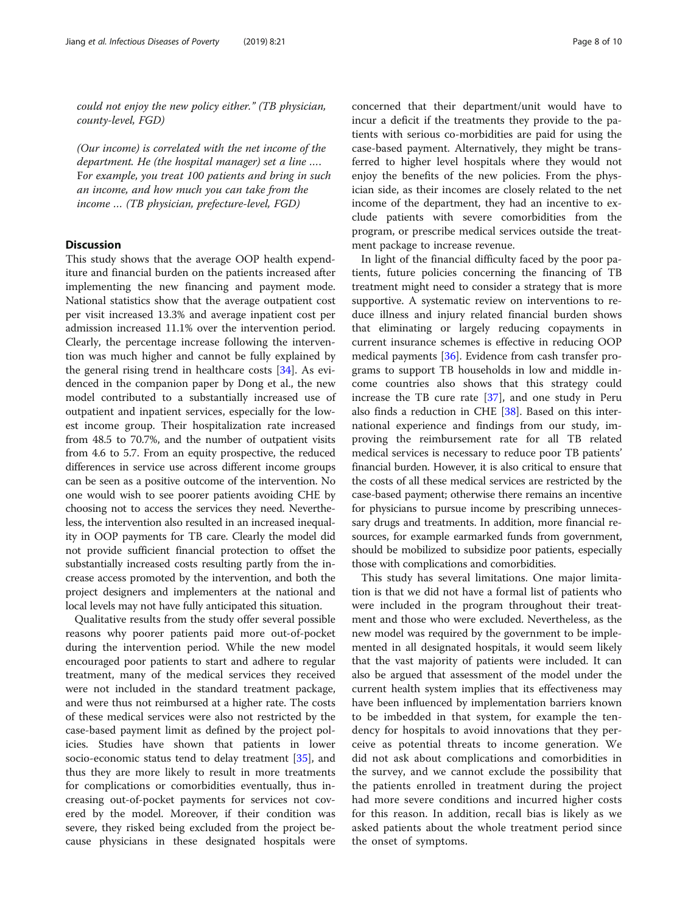could not enjoy the new policy either." (TB physician, county-level, FGD)

(Our income) is correlated with the net income of the department. He (the hospital manager) set a line …. For example, you treat 100 patients and bring in such an income, and how much you can take from the income … (TB physician, prefecture-level, FGD)

# **Discussion**

This study shows that the average OOP health expenditure and financial burden on the patients increased after implementing the new financing and payment mode. National statistics show that the average outpatient cost per visit increased 13.3% and average inpatient cost per admission increased 11.1% over the intervention period. Clearly, the percentage increase following the intervention was much higher and cannot be fully explained by the general rising trend in healthcare costs [\[34](#page-9-0)]. As evidenced in the companion paper by Dong et al., the new model contributed to a substantially increased use of outpatient and inpatient services, especially for the lowest income group. Their hospitalization rate increased from 48.5 to 70.7%, and the number of outpatient visits from 4.6 to 5.7. From an equity prospective, the reduced differences in service use across different income groups can be seen as a positive outcome of the intervention. No one would wish to see poorer patients avoiding CHE by choosing not to access the services they need. Nevertheless, the intervention also resulted in an increased inequality in OOP payments for TB care. Clearly the model did not provide sufficient financial protection to offset the substantially increased costs resulting partly from the increase access promoted by the intervention, and both the project designers and implementers at the national and local levels may not have fully anticipated this situation.

Qualitative results from the study offer several possible reasons why poorer patients paid more out-of-pocket during the intervention period. While the new model encouraged poor patients to start and adhere to regular treatment, many of the medical services they received were not included in the standard treatment package, and were thus not reimbursed at a higher rate. The costs of these medical services were also not restricted by the case-based payment limit as defined by the project policies. Studies have shown that patients in lower socio-economic status tend to delay treatment [[35\]](#page-9-0), and thus they are more likely to result in more treatments for complications or comorbidities eventually, thus increasing out-of-pocket payments for services not covered by the model. Moreover, if their condition was severe, they risked being excluded from the project because physicians in these designated hospitals were concerned that their department/unit would have to incur a deficit if the treatments they provide to the patients with serious co-morbidities are paid for using the case-based payment. Alternatively, they might be transferred to higher level hospitals where they would not enjoy the benefits of the new policies. From the physician side, as their incomes are closely related to the net income of the department, they had an incentive to exclude patients with severe comorbidities from the program, or prescribe medical services outside the treatment package to increase revenue.

In light of the financial difficulty faced by the poor patients, future policies concerning the financing of TB treatment might need to consider a strategy that is more supportive. A systematic review on interventions to reduce illness and injury related financial burden shows that eliminating or largely reducing copayments in current insurance schemes is effective in reducing OOP medical payments [[36\]](#page-9-0). Evidence from cash transfer programs to support TB households in low and middle income countries also shows that this strategy could increase the TB cure rate [[37\]](#page-9-0), and one study in Peru also finds a reduction in CHE [[38\]](#page-9-0). Based on this international experience and findings from our study, improving the reimbursement rate for all TB related medical services is necessary to reduce poor TB patients' financial burden. However, it is also critical to ensure that the costs of all these medical services are restricted by the case-based payment; otherwise there remains an incentive for physicians to pursue income by prescribing unnecessary drugs and treatments. In addition, more financial resources, for example earmarked funds from government, should be mobilized to subsidize poor patients, especially those with complications and comorbidities.

This study has several limitations. One major limitation is that we did not have a formal list of patients who were included in the program throughout their treatment and those who were excluded. Nevertheless, as the new model was required by the government to be implemented in all designated hospitals, it would seem likely that the vast majority of patients were included. It can also be argued that assessment of the model under the current health system implies that its effectiveness may have been influenced by implementation barriers known to be imbedded in that system, for example the tendency for hospitals to avoid innovations that they perceive as potential threats to income generation. We did not ask about complications and comorbidities in the survey, and we cannot exclude the possibility that the patients enrolled in treatment during the project had more severe conditions and incurred higher costs for this reason. In addition, recall bias is likely as we asked patients about the whole treatment period since the onset of symptoms.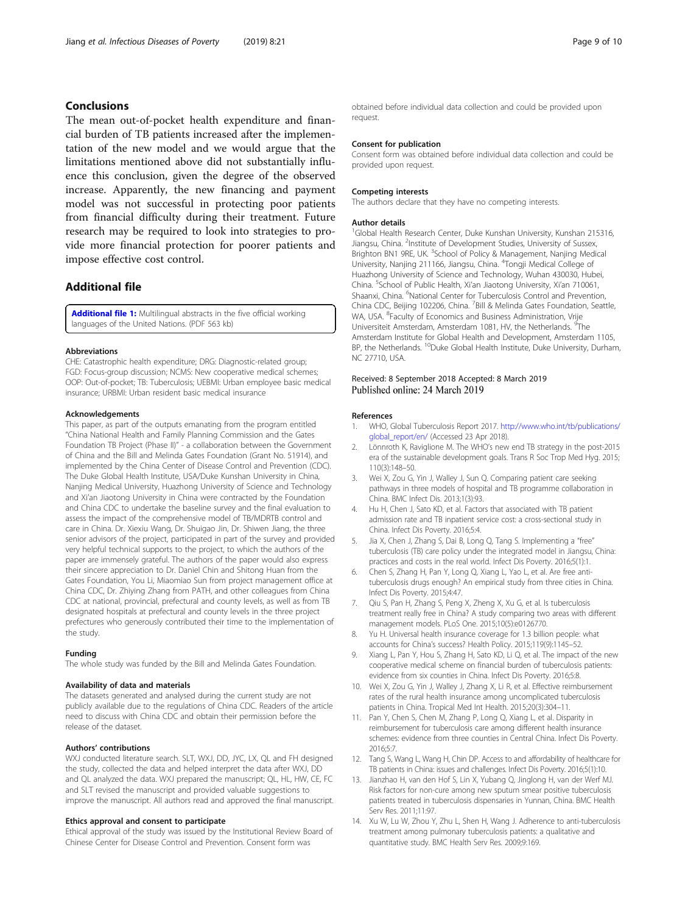# <span id="page-8-0"></span>Conclusions

The mean out-of-pocket health expenditure and financial burden of TB patients increased after the implementation of the new model and we would argue that the limitations mentioned above did not substantially influence this conclusion, given the degree of the observed increase. Apparently, the new financing and payment model was not successful in protecting poor patients from financial difficulty during their treatment. Future research may be required to look into strategies to provide more financial protection for poorer patients and impose effective cost control.

# Additional file

[Additional file 1:](https://doi.org/10.1186/s40249-019-0532-x) Multilingual abstracts in the five official working languages of the United Nations. (PDF 563 kb)

#### Abbreviations

CHE: Catastrophic health expenditure; DRG: Diagnostic-related group; FGD: Focus-group discussion; NCMS: New cooperative medical schemes; OOP: Out-of-pocket; TB: Tuberculosis; UEBMI: Urban employee basic medical insurance; URBMI: Urban resident basic medical insurance

#### Acknowledgements

This paper, as part of the outputs emanating from the program entitled "China National Health and Family Planning Commission and the Gates Foundation TB Project (Phase II)" - a collaboration between the Government of China and the Bill and Melinda Gates Foundation (Grant No. 51914), and implemented by the China Center of Disease Control and Prevention (CDC). The Duke Global Health Institute, USA/Duke Kunshan University in China, Nanjing Medical University, Huazhong University of Science and Technology and Xi'an Jiaotong University in China were contracted by the Foundation and China CDC to undertake the baseline survey and the final evaluation to assess the impact of the comprehensive model of TB/MDRTB control and care in China. Dr. Xiexiu Wang, Dr. Shuigao Jin, Dr. Shiwen Jiang, the three senior advisors of the project, participated in part of the survey and provided very helpful technical supports to the project, to which the authors of the paper are immensely grateful. The authors of the paper would also express their sincere appreciation to Dr. Daniel Chin and Shitong Huan from the Gates Foundation, You Li, Miaomiao Sun from project management office at China CDC, Dr. Zhiying Zhang from PATH, and other colleagues from China CDC at national, provincial, prefectural and county levels, as well as from TB designated hospitals at prefectural and county levels in the three project prefectures who generously contributed their time to the implementation of the study.

#### Funding

The whole study was funded by the Bill and Melinda Gates Foundation.

#### Availability of data and materials

The datasets generated and analysed during the current study are not publicly available due to the regulations of China CDC. Readers of the article need to discuss with China CDC and obtain their permission before the release of the dataset.

#### Authors' contributions

WXJ conducted literature search. SLT, WXJ, DD, JYC, LX, QL and FH designed the study, collected the data and helped interpret the data after WXJ, DD and QL analyzed the data. WXJ prepared the manuscript; QL, HL, HW, CE, FC and SLT revised the manuscript and provided valuable suggestions to improve the manuscript. All authors read and approved the final manuscript.

#### Ethics approval and consent to participate

Ethical approval of the study was issued by the Institutional Review Board of Chinese Center for Disease Control and Prevention. Consent form was

obtained before individual data collection and could be provided upon request.

#### Consent for publication

Consent form was obtained before individual data collection and could be provided upon request.

#### Competing interests

The authors declare that they have no competing interests.

#### Author details

<sup>1</sup>Global Health Research Center, Duke Kunshan University, Kunshan 215316 Jiangsu, China. <sup>2</sup>Institute of Development Studies, University of Sussex Brighton BN1 9RE, UK. <sup>3</sup>School of Policy & Management, Nanjing Medical University, Nanjing 211166, Jiangsu, China. <sup>4</sup>Tongji Medical College of Huazhong University of Science and Technology, Wuhan 430030, Hubei, China. <sup>5</sup>School of Public Health, Xi'an Jiaotong University, Xi'an 710061, Shaanxi, China. <sup>6</sup>National Center for Tuberculosis Control and Prevention, China CDC, Beijing 102206, China. <sup>7</sup>Bill & Melinda Gates Foundation, Seattle, WA, USA. <sup>8</sup>Faculty of Economics and Business Administration, Vrije Universiteit Amsterdam, Amsterdam 1081, HV, the Netherlands. <sup>9</sup>The Amsterdam Institute for Global Health and Development, Amsterdam 1105, BP, the Netherlands. <sup>10</sup>Duke Global Health Institute, Duke University, Durham, NC 27710, USA.

# Received: 8 September 2018 Accepted: 8 March 2019

#### References

- 1. WHO, Global Tuberculosis Report 2017. [http://www.who.int/tb/publications/](http://www.who.int/tb/publications/global_report/en/) [global\\_report/en/](http://www.who.int/tb/publications/global_report/en/) (Accessed 23 Apr 2018).
- 2. Lönnroth K, Raviglione M. The WHO's new end TB strategy in the post-2015 era of the sustainable development goals. Trans R Soc Trop Med Hyg. 2015; 110(3):148–50.
- 3. Wei X, Zou G, Yin J, Walley J, Sun Q. Comparing patient care seeking pathways in three models of hospital and TB programme collaboration in China. BMC Infect Dis. 2013;1(3):93.
- 4. Hu H, Chen J, Sato KD, et al. Factors that associated with TB patient admission rate and TB inpatient service cost: a cross-sectional study in China. Infect Dis Poverty. 2016;5:4.
- Jia X, Chen J, Zhang S, Dai B, Long Q, Tang S. Implementing a "free" tuberculosis (TB) care policy under the integrated model in Jiangsu, China: practices and costs in the real world. Infect Dis Poverty. 2016;5(1):1.
- 6. Chen S, Zhang H, Pan Y, Long Q, Xiang L, Yao L, et al. Are free antituberculosis drugs enough? An empirical study from three cities in China. Infect Dis Poverty. 2015;4:47.
- Qiu S, Pan H, Zhang S, Peng X, Zheng X, Xu G, et al. Is tuberculosis treatment really free in China? A study comparing two areas with different management models. PLoS One. 2015;10(5):e0126770.
- 8. Yu H. Universal health insurance coverage for 1.3 billion people: what accounts for China's success? Health Policy. 2015;119(9):1145–52.
- 9. Xiang L, Pan Y, Hou S, Zhang H, Sato KD, Li Q, et al. The impact of the new cooperative medical scheme on financial burden of tuberculosis patients: evidence from six counties in China. Infect Dis Poverty. 2016;5:8.
- 10. Wei X, Zou G, Yin J, Walley J, Zhang X, Li R, et al. Effective reimbursement rates of the rural health insurance among uncomplicated tuberculosis patients in China. Tropical Med Int Health. 2015;20(3):304–11.
- 11. Pan Y, Chen S, Chen M, Zhang P, Long Q, Xiang L, et al. Disparity in reimbursement for tuberculosis care among different health insurance schemes: evidence from three counties in Central China. Infect Dis Poverty. 2016;5:7.
- 12. Tang S, Wang L, Wang H, Chin DP. Access to and affordability of healthcare for TB patients in China: issues and challenges. Infect Dis Poverty. 2016;5(1):10.
- 13. Jianzhao H, van den Hof S, Lin X, Yubang Q, Jinglong H, van der Werf MJ. Risk factors for non-cure among new sputum smear positive tuberculosis patients treated in tuberculosis dispensaries in Yunnan, China. BMC Health Serv Res. 2011;11:97.
- 14. Xu W, Lu W, Zhou Y, Zhu L, Shen H, Wang J. Adherence to anti-tuberculosis treatment among pulmonary tuberculosis patients: a qualitative and quantitative study. BMC Health Serv Res. 2009;9:169.